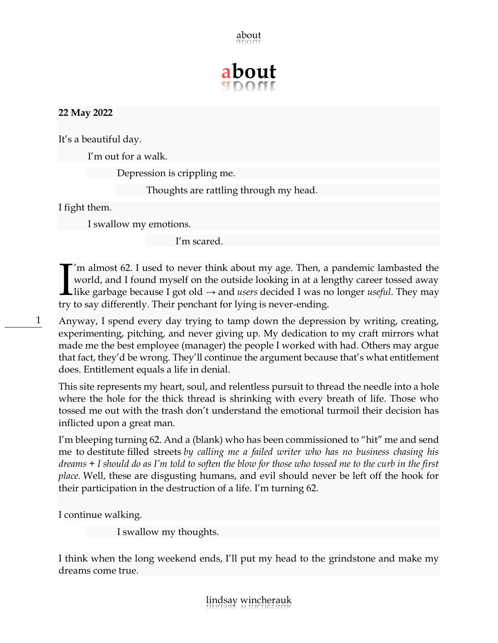about

## **about**

#### **22 May 2022**

It's a beautiful day.

I'm out for a walk.

Depression is crippling me.

Thoughts are rattling through my head.

I fight them.

I swallow my emotions.

I'm scared.

'm almost 62. I used to never think about my age. Then, a pandemic lambasted the world, and I found myself on the outside looking in at a lengthy career tossed away like garbage because I got old → and *users* decided I was no longer *useful.* They may try to say differently. Their penchant for lying is never-ending.  $\prod_{\text{triv}}$ 

Anyway, I spend every day trying to tamp down the depression by writing, creating, experimenting, pitching, and never giving up. My dedication to my craft mirrors what made me the best employee (manager) the people I worked with had. Others may argue that fact, they'd be wrong. They'll continue the argument because that's what entitlement does. Entitlement equals a life in denial.

This site represents my heart, soul, and relentless pursuit to thread the needle into a hole where the hole for the thick thread is shrinking with every breath of life. Those who tossed me out with the trash don't understand the emotional turmoil their decision has inflicted upon a great man.

I'm bleeping turning 62. And a (blank) who has been commissioned to "hit" me and send me to destitute filled streets *by calling me a failed writer who has no business chasing his dreams + I should do as I'm told to soften the blow for those who tossed me to the curb in the first place.* Well, these are disgusting humans, and evil should never be left off the hook for their participation in the destruction of a life. I'm turning 62.

I continue walking.

I swallow my thoughts.

I think when the long weekend ends, I'll put my head to the grindstone and make my dreams come true.

1

lindsay wincherauk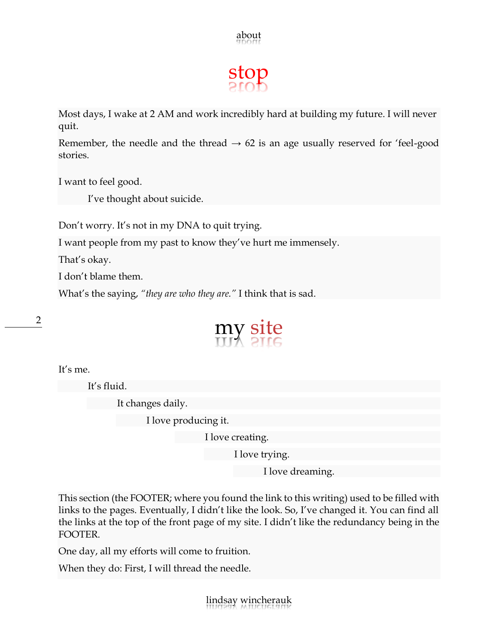

### stop

Most days, I wake at 2 AM and work incredibly hard at building my future. I will never quit.

Remember, the needle and the thread  $\rightarrow$  62 is an age usually reserved for 'feel-good stories.

I want to feel good.

I've thought about suicide.

Don't worry. It's not in my DNA to quit trying.

I want people from my past to know they've hurt me immensely.

That's okay.

I don't blame them.

What's the saying, *"they are who they are."* I think that is sad.

# my site

It's me.

It's fluid.

It changes daily.

I love producing it.

I love creating.

I love trying.

I love dreaming.

This section (the FOOTER; where you found the link to this writing) used to be filled with links to the pages. Eventually, I didn't like the look. So, I've changed it. You can find all the links at the top of the front page of my site. I didn't like the redundancy being in the FOOTER.

One day, all my efforts will come to fruition.

When they do: First, I will thread the needle.

2

lindsay wincherauk